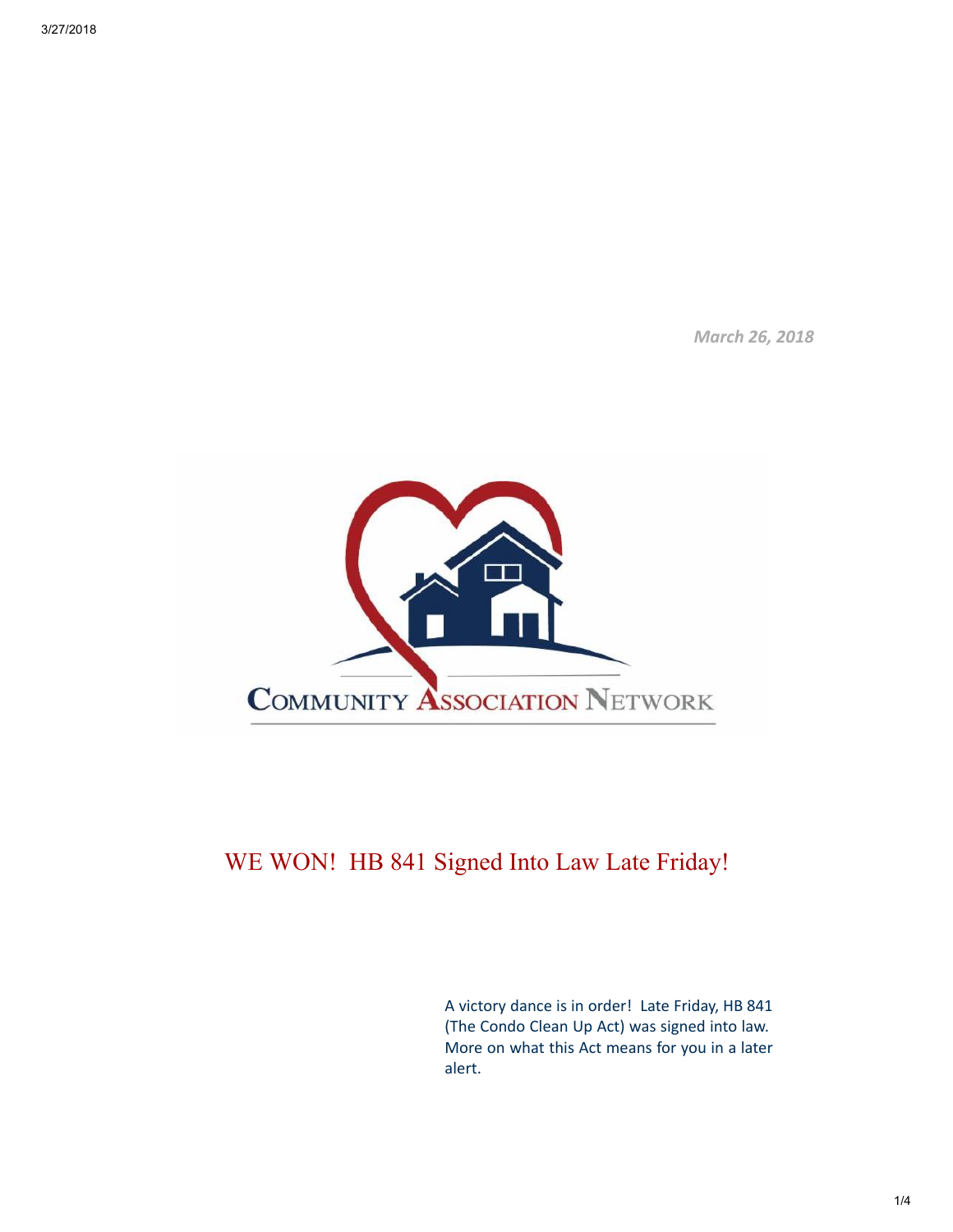March 26, 2018



## WE WON! HB 841 Signed Into Law Late Friday!

A victory dance is in order! Late Friday, HB 841 (The Condo Clean Up Act) was signed into law. More on what this Act means for you in a later alert.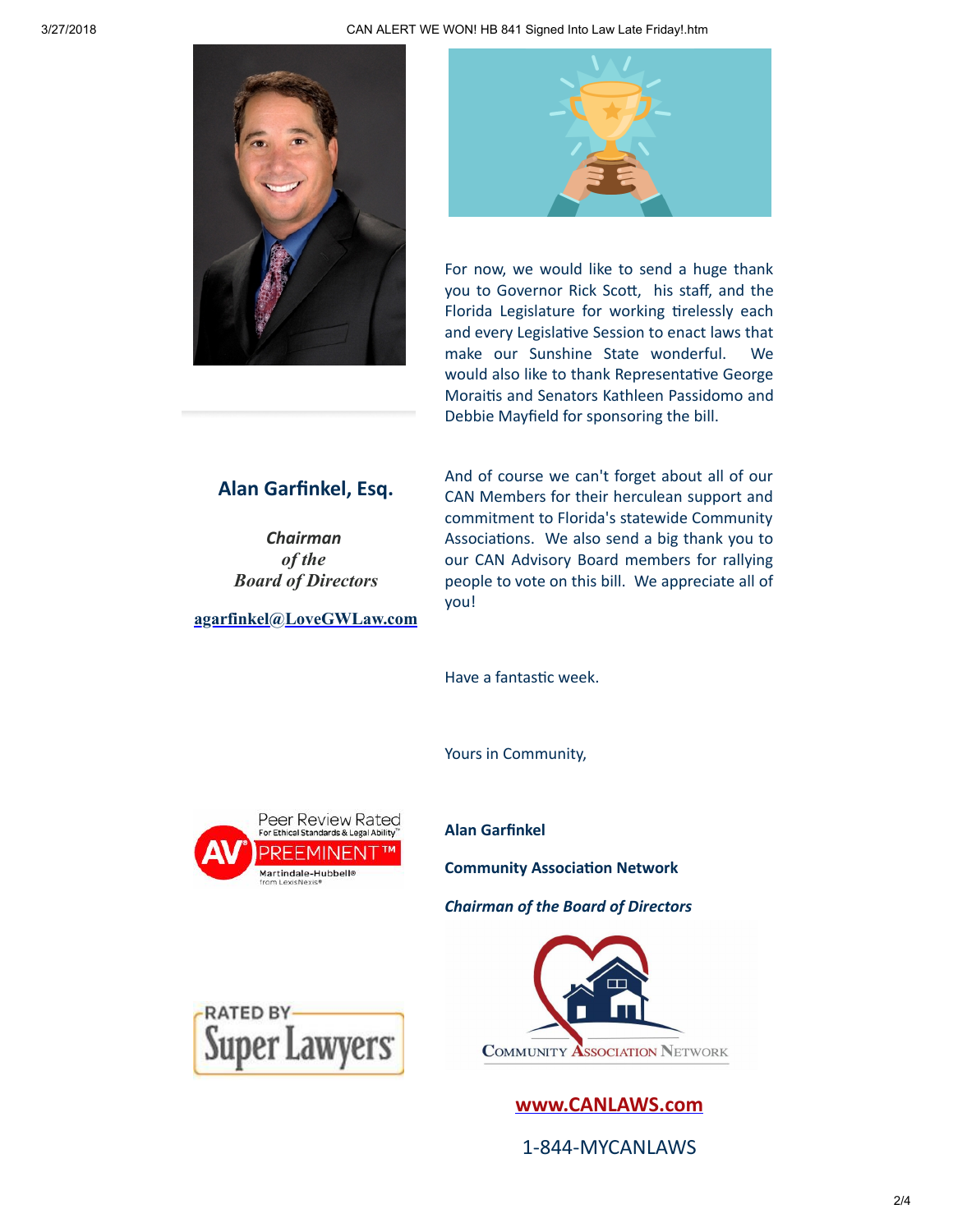



For now, we would like to send a huge thank you to Governor Rick Scott, his staff, and the Florida Legislature for working tirelessly each and every Legislative Session to enact laws that make our Sunshine State wonderful. We would also like to thank Representative George Moraitis and Senators Kathleen Passidomo and Debbie Mayfield for sponsoring the bill.

## Alan Garfinkel, Esq.

Chairman *of the Board of Directors*

[agarfinkel@LoveGWLaw.com](mailto:agarfinkel@lovegwlaw.com?subject=CAN%20Alert)

And of course we can't forget about all of our CAN Members for their herculean support and commitment to Florida's statewide Community Associations. We also send a big thank you to our CAN Advisory Board members for rallying people to vote on this bill. We appreciate all of you!

Have a fantastic week.

Yours in Community,



Alan Garfinkel

**Community Association Network** 

Chairman of the Board of Directors





1-844-MYCANLAWS

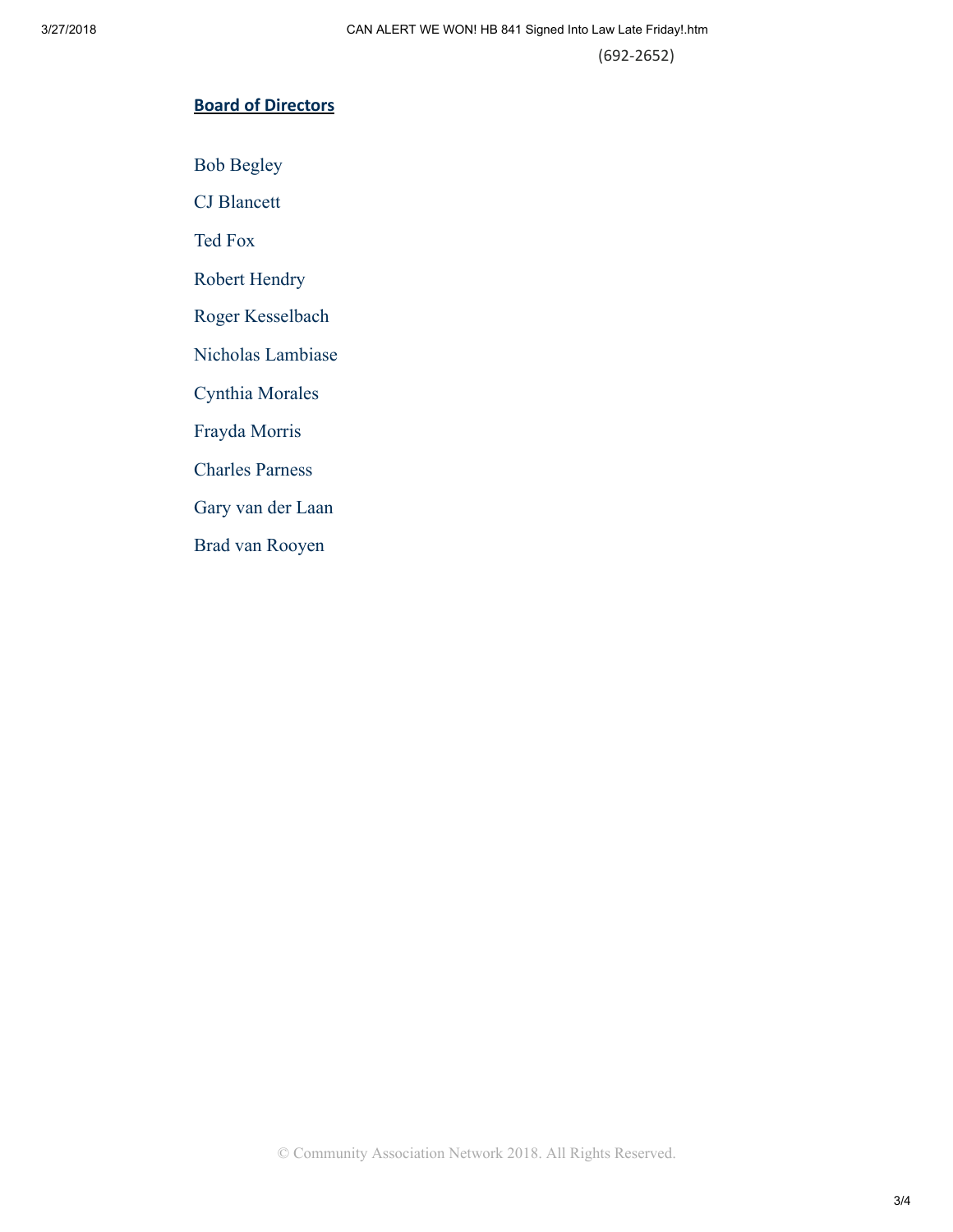(692-2652)

## Board of Directors

Bob Begley

CJ Blancett

Ted Fox

Robert Hendry

Roger Kesselbach

Nicholas Lambiase

Cynthia Morales

Frayda Morris

Charles Parness

Gary van der Laan

Brad van Rooyen